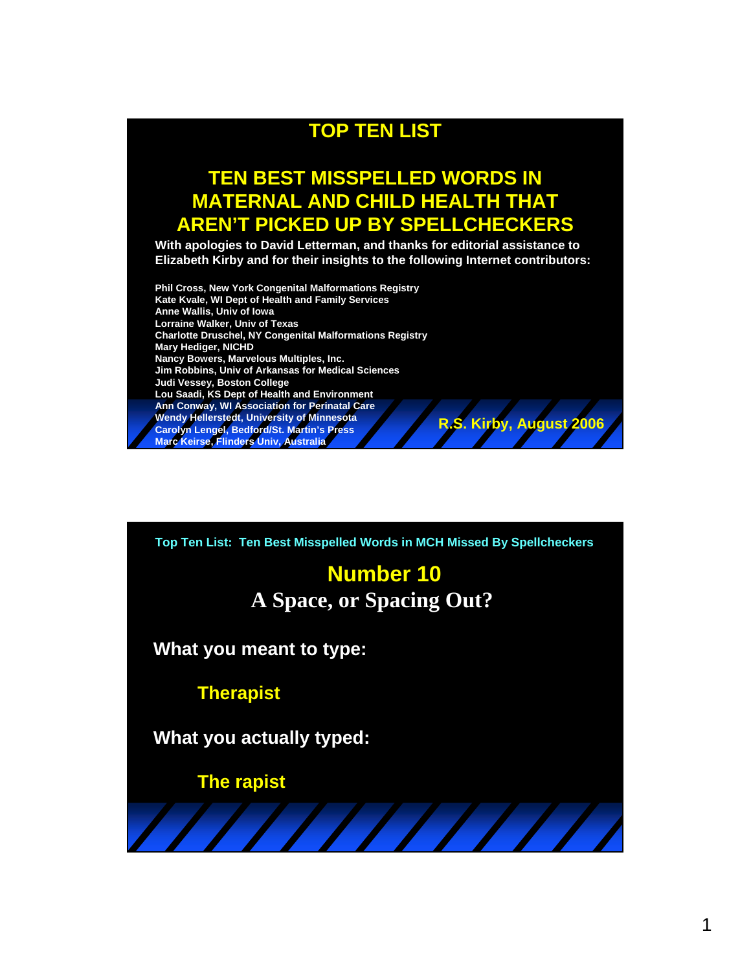#### **TOP TEN LIST**

#### **TEN BEST MISSPELLED WORDS IN MATERNAL AND CHILD HEALTH THAT AREN'T PICKED UP BY SPELLCHECKERS**

**With apologies to David Letterman, and thanks for editorial assistance to Elizabeth Kirby and for their insights to the following Internet contributors:** 

**Phil Cross, New York Congenital Malformations Registry Kate Kvale, WI Dept of Health and Family Services Anne Wallis, Univ of Iowa Lorraine Walker, Univ of Texas Charlotte Druschel, NY Congenital Malformations Registry Mary Hediger, NICHD Nancy Bowers, Marvelous Multiples, Inc. Jim Robbins, Univ of Arkansas for Medical Sciences Judi Vessey, Boston College Lou Saadi, KS Dept of Health and Environment Ann Conway, WI Association for Perinatal Care Wendy Hellerstedt, University of Minnesota Carolyn Lengel, Bedford/St. Martin's Press Marc Keirse, Flinders Univ, Australia R.S. Kirby, August 2006**

**Top Ten List: Ten Best Misspelled Words in MCH Missed By Spellcheckers**

## **Number 10 A Space, or Spacing Out?**

**What you meant to type:**

**Therapist**

**What you actually typed:**

**The rapist**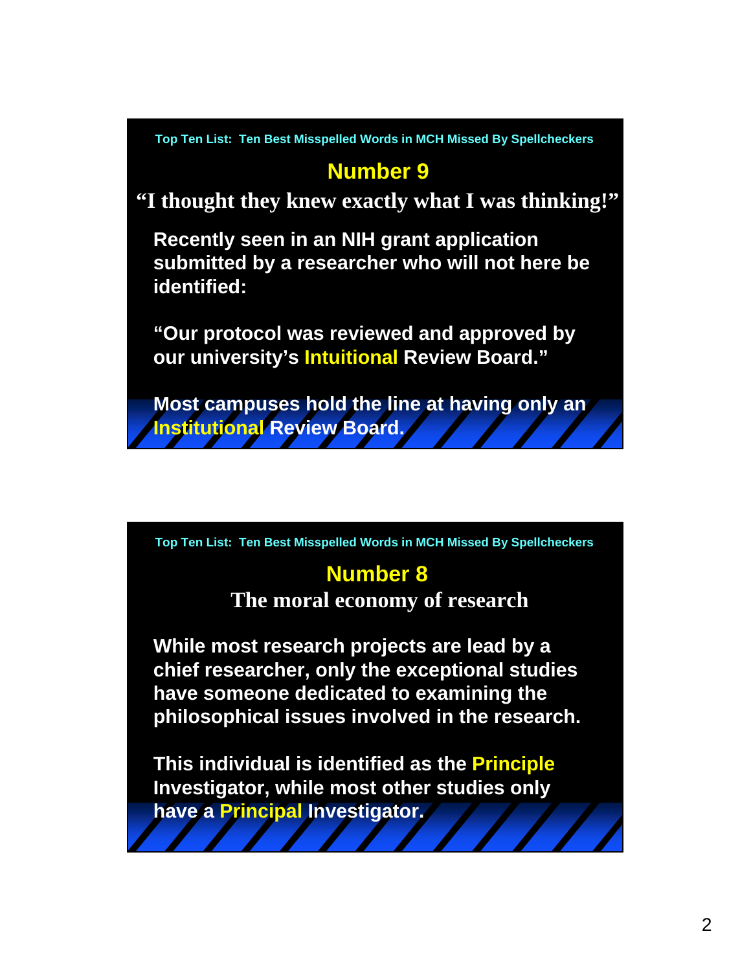## **Number 9**

**"I thought they knew exactly what I was thinking!"**

**Recently seen in an NIH grant application submitted by a researcher who will not here be identified:**

**"Our protocol was reviewed and approved by our university's Intuitional Review Board."**

**Most campuses hold the line at having only an Institutional Review Board.**

**Top Ten List: Ten Best Misspelled Words in MCH Missed By Spellcheckers**

# **Number 8**

**The moral economy of research**

**While most research projects are lead by a chief researcher, only the exceptional studies have someone dedicated to examining the philosophical issues involved in the research.**

**This individual is identified as the Principle Investigator, while most other studies only have a Principal Investigator.**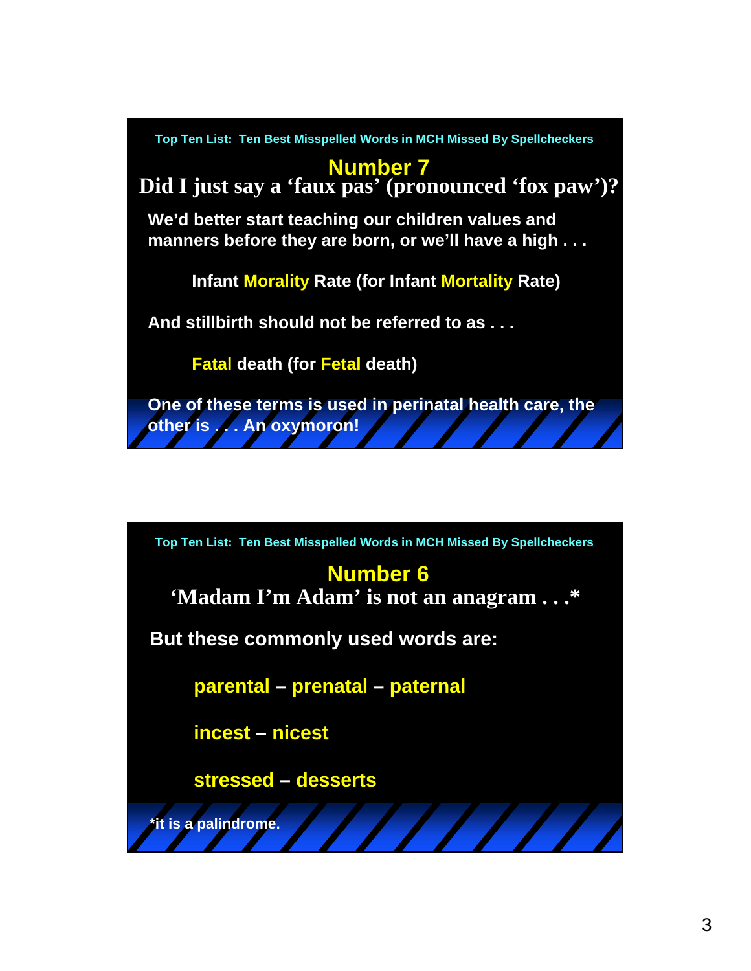

## **Number 6**

**'Madam I'm Adam' is not an anagram . . .\***

**But these commonly used words are:**

**parental – prenatal – paternal**

**incest – nicest**

**stressed – desserts**

**\*it is a palindrome.**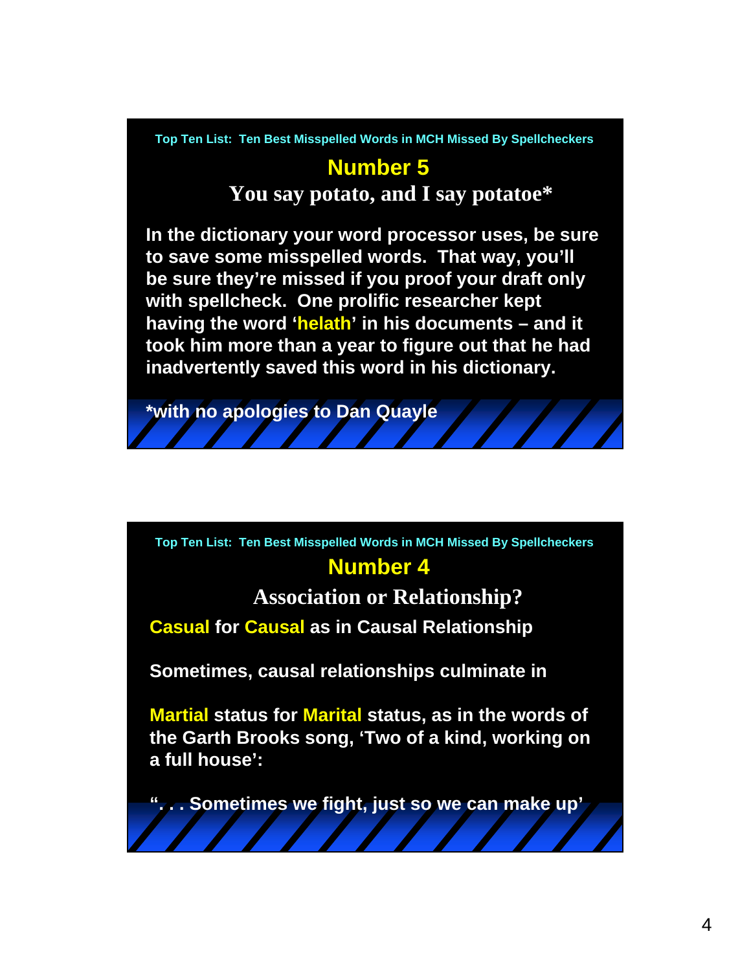# **Number 5**

**You say potato, and I say potatoe\***

**In the dictionary your word processor uses, be sure to save some misspelled words. That way, you'll be sure they're missed if you proof your draft only with spellcheck. One prolific researcher kept having the word 'helath' in his documents – and it took him more than a year to figure out that he had inadvertently saved this word in his dictionary.**

**\*with no apologies to Dan Quayle**

**Number 4 Top Ten List: Ten Best Misspelled Words in MCH Missed By Spellcheckers**

**Association or Relationship?**

**Casual for Causal as in Causal Relationship**

**Sometimes, causal relationships culminate in** 

**Martial status for Marital status, as in the words of the Garth Brooks song, 'Two of a kind, working on a full house':** 

**". . . Sometimes we fight, just so we can make up'**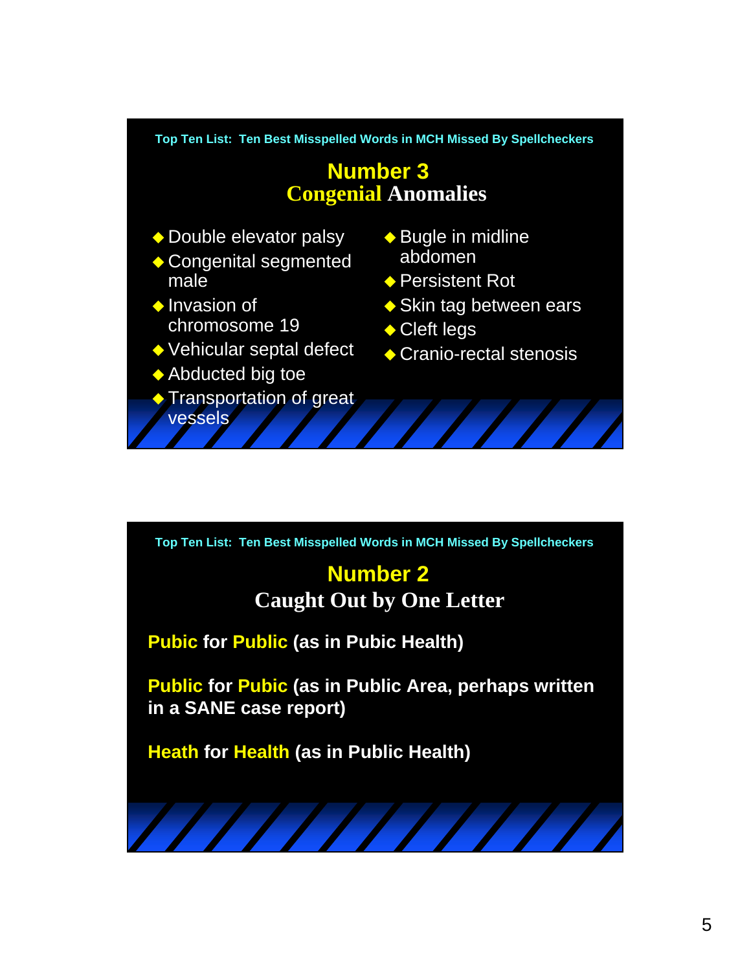